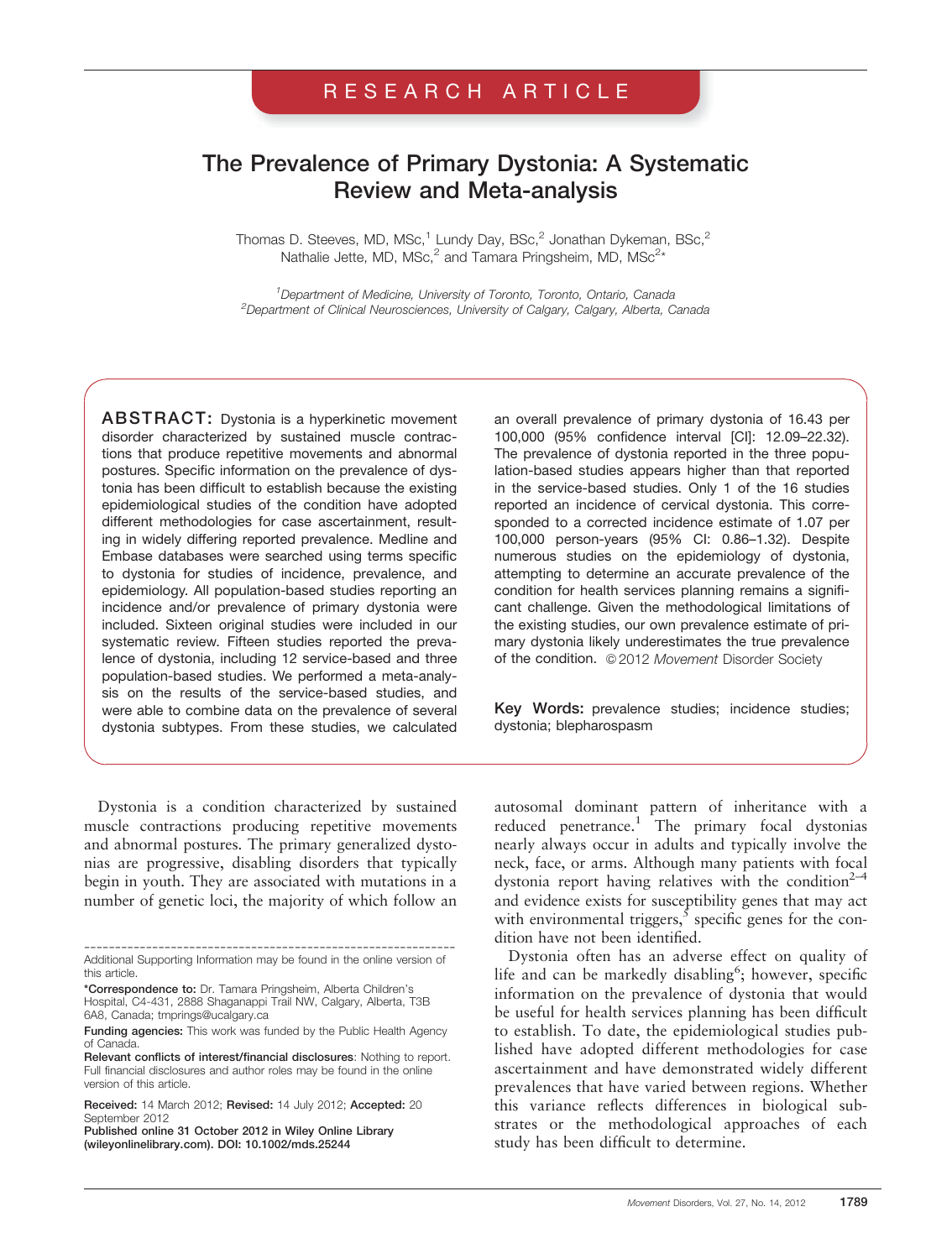# RESEARCH ARTICLE

## The Prevalence of Primary Dystonia: A Systematic Review and Meta-analysis

Thomas D. Steeves, MD, MSc,<sup>1</sup> Lundy Day, BSc,<sup>2</sup> Jonathan Dykeman, BSc,<sup>2</sup> Nathalie Jette, MD, MSc, $^2$  and Tamara Pringsheim, MD, MSc $^{2*}$ 

<sup>1</sup>Department of Medicine, University of Toronto, Toronto, Ontario, Canada <sup>2</sup>Department of Clinical Neurosciences, University of Calgary, Calgary, Alberta, Canada

ABSTRACT: Dystonia is a hyperkinetic movement disorder characterized by sustained muscle contractions that produce repetitive movements and abnormal postures. Specific information on the prevalence of dystonia has been difficult to establish because the existing epidemiological studies of the condition have adopted different methodologies for case ascertainment, resulting in widely differing reported prevalence. Medline and Embase databases were searched using terms specific to dystonia for studies of incidence, prevalence, and epidemiology. All population-based studies reporting an incidence and/or prevalence of primary dystonia were included. Sixteen original studies were included in our systematic review. Fifteen studies reported the prevalence of dystonia, including 12 service-based and three population-based studies. We performed a meta-analysis on the results of the service-based studies, and were able to combine data on the prevalence of several dystonia subtypes. From these studies, we calculated

Dystonia is a condition characterized by sustained muscle contractions producing repetitive movements and abnormal postures. The primary generalized dystonias are progressive, disabling disorders that typically begin in youth. They are associated with mutations in a number of genetic loci, the majority of which follow an

------------------------------------------------------------ Additional Supporting Information may be found in the online version of this article.

\*Correspondence to: Dr. Tamara Pringsheim, Alberta Children's Hospital, C4-431, 2888 Shaganappi Trail NW, Calgary, Alberta, T3B 6A8, Canada; tmprings@ucalgary.ca

Published online 31 October 2012 in Wiley Online Library (wileyonlinelibrary.com). DOI: 10.1002/mds.25244

an overall prevalence of primary dystonia of 16.43 per 100,000 (95% confidence interval [CI]: 12.09–22.32). The prevalence of dystonia reported in the three population-based studies appears higher than that reported in the service-based studies. Only 1 of the 16 studies reported an incidence of cervical dystonia. This corresponded to a corrected incidence estimate of 1.07 per 100,000 person-years (95% CI: 0.86–1.32). Despite numerous studies on the epidemiology of dystonia, attempting to determine an accurate prevalence of the condition for health services planning remains a significant challenge. Given the methodological limitations of the existing studies, our own prevalence estimate of primary dystonia likely underestimates the true prevalence of the condition. © 2012 Movement Disorder Society

Key Words: prevalence studies; incidence studies; dystonia; blepharospasm

autosomal dominant pattern of inheritance with a reduced penetrance.<sup>1</sup> The primary focal dystonias nearly always occur in adults and typically involve the neck, face, or arms. Although many patients with focal dystonia report having relatives with the condition<sup>2–4</sup> and evidence exists for susceptibility genes that may act with environmental triggers,<sup>5</sup> specific genes for the condition have not been identified.

Dystonia often has an adverse effect on quality of life and can be markedly disabling<sup>6</sup>; however, specific information on the prevalence of dystonia that would be useful for health services planning has been difficult to establish. To date, the epidemiological studies published have adopted different methodologies for case ascertainment and have demonstrated widely different prevalences that have varied between regions. Whether this variance reflects differences in biological substrates or the methodological approaches of each study has been difficult to determine.

Funding agencies: This work was funded by the Public Health Agency of Canada.

Relevant conflicts of interest/financial disclosures: Nothing to report. Full financial disclosures and author roles may be found in the online version of this article.

Received: 14 March 2012; Revised: 14 July 2012; Accepted: 20 September 2012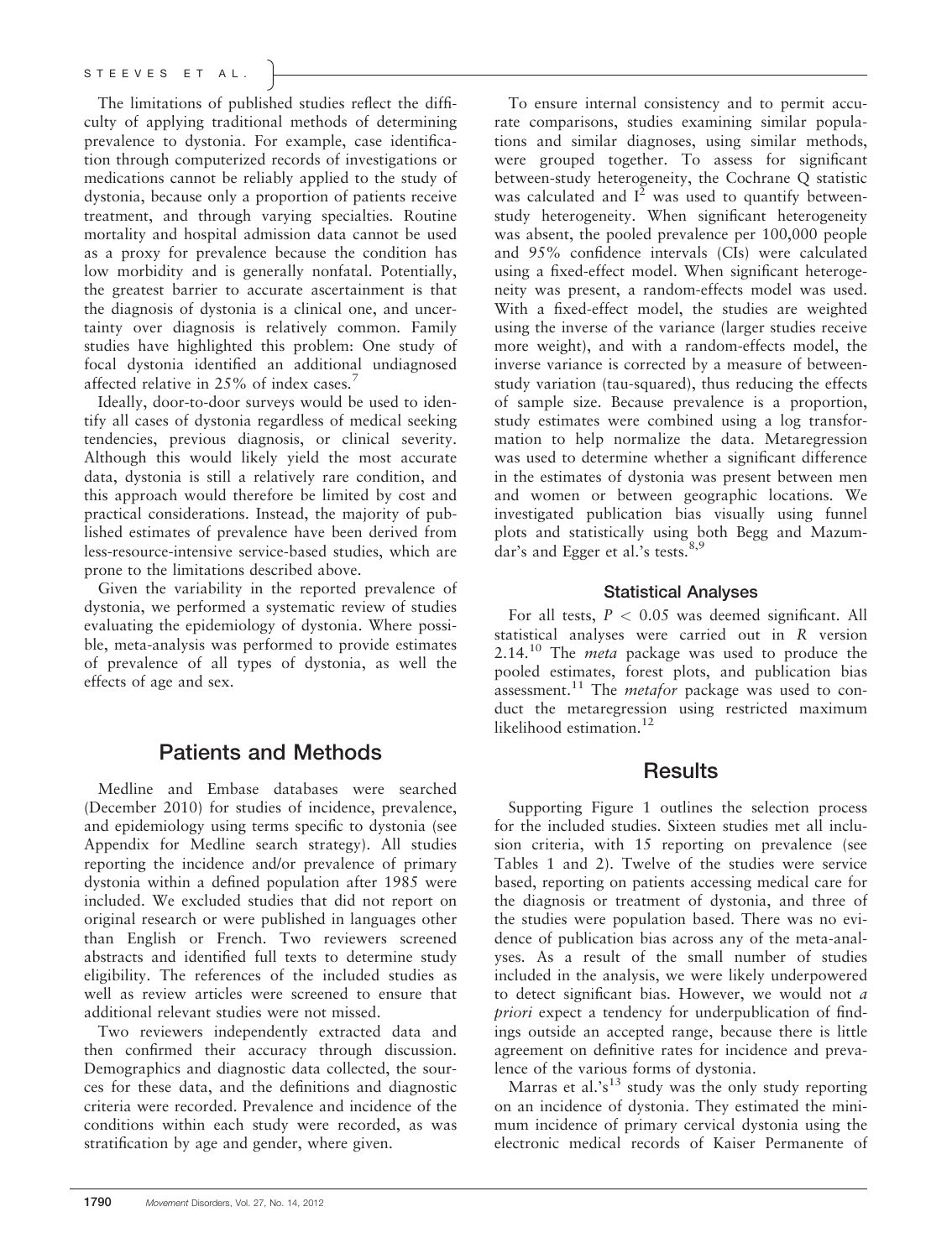The limitations of published studies reflect the difficulty of applying traditional methods of determining prevalence to dystonia. For example, case identification through computerized records of investigations or medications cannot be reliably applied to the study of dystonia, because only a proportion of patients receive treatment, and through varying specialties. Routine mortality and hospital admission data cannot be used as a proxy for prevalence because the condition has low morbidity and is generally nonfatal. Potentially, the greatest barrier to accurate ascertainment is that the diagnosis of dystonia is a clinical one, and uncertainty over diagnosis is relatively common. Family studies have highlighted this problem: One study of focal dystonia identified an additional undiagnosed affected relative in 25% of index cases.<sup>7</sup>

Ideally, door-to-door surveys would be used to identify all cases of dystonia regardless of medical seeking tendencies, previous diagnosis, or clinical severity. Although this would likely yield the most accurate data, dystonia is still a relatively rare condition, and this approach would therefore be limited by cost and practical considerations. Instead, the majority of published estimates of prevalence have been derived from less-resource-intensive service-based studies, which are prone to the limitations described above.

Given the variability in the reported prevalence of dystonia, we performed a systematic review of studies evaluating the epidemiology of dystonia. Where possible, meta-analysis was performed to provide estimates of prevalence of all types of dystonia, as well the effects of age and sex.

## Patients and Methods

Medline and Embase databases were searched (December 2010) for studies of incidence, prevalence, and epidemiology using terms specific to dystonia (see Appendix for Medline search strategy). All studies reporting the incidence and/or prevalence of primary dystonia within a defined population after 1985 were included. We excluded studies that did not report on original research or were published in languages other than English or French. Two reviewers screened abstracts and identified full texts to determine study eligibility. The references of the included studies as well as review articles were screened to ensure that additional relevant studies were not missed.

Two reviewers independently extracted data and then confirmed their accuracy through discussion. Demographics and diagnostic data collected, the sources for these data, and the definitions and diagnostic criteria were recorded. Prevalence and incidence of the conditions within each study were recorded, as was stratification by age and gender, where given.

To ensure internal consistency and to permit accurate comparisons, studies examining similar populations and similar diagnoses, using similar methods, were grouped together. To assess for significant between-study heterogeneity, the Cochrane Q statistic was calculated and  $I^2$  was used to quantify betweenstudy heterogeneity. When significant heterogeneity was absent, the pooled prevalence per 100,000 people and 95% confidence intervals (CIs) were calculated using a fixed-effect model. When significant heterogeneity was present, a random-effects model was used. With a fixed-effect model, the studies are weighted using the inverse of the variance (larger studies receive more weight), and with a random-effects model, the inverse variance is corrected by a measure of betweenstudy variation (tau-squared), thus reducing the effects of sample size. Because prevalence is a proportion, study estimates were combined using a log transformation to help normalize the data. Metaregression was used to determine whether a significant difference in the estimates of dystonia was present between men and women or between geographic locations. We investigated publication bias visually using funnel plots and statistically using both Begg and Mazumdar's and Egger et al.'s tests.<sup>8,9</sup>

#### Statistical Analyses

For all tests,  $P < 0.05$  was deemed significant. All statistical analyses were carried out in R version 2.14. $^{10}$  The *meta* package was used to produce the pooled estimates, forest plots, and publication bias assessment.<sup>11</sup> The *metafor* package was used to conduct the metaregression using restricted maximum likelihood estimation.<sup>12</sup>

## Results

Supporting Figure 1 outlines the selection process for the included studies. Sixteen studies met all inclusion criteria, with 15 reporting on prevalence (see Tables 1 and 2). Twelve of the studies were service based, reporting on patients accessing medical care for the diagnosis or treatment of dystonia, and three of the studies were population based. There was no evidence of publication bias across any of the meta-analyses. As a result of the small number of studies included in the analysis, we were likely underpowered to detect significant bias. However, we would not a priori expect a tendency for underpublication of findings outside an accepted range, because there is little agreement on definitive rates for incidence and prevalence of the various forms of dystonia.

Marras et al.'s<sup>13</sup> study was the only study reporting on an incidence of dystonia. They estimated the minimum incidence of primary cervical dystonia using the electronic medical records of Kaiser Permanente of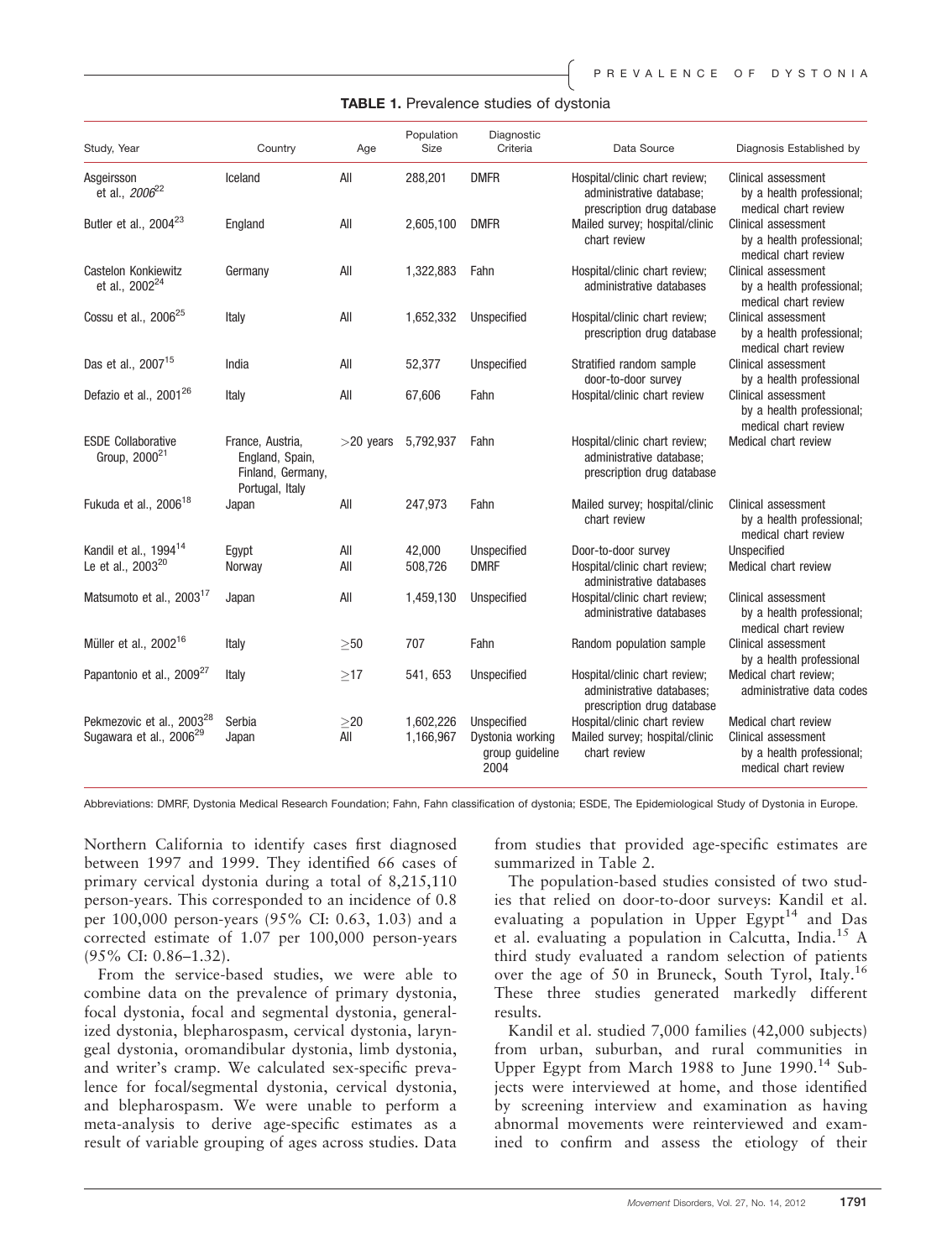| <b>TABLE 1.</b> Prevalence studies of dystonia |  |  |
|------------------------------------------------|--|--|
|------------------------------------------------|--|--|

| Study, Year                                                        | Country                                                                     | Age          | Population<br><b>Size</b> | Diagnostic<br>Criteria                      | Data Source                                                                              | Diagnosis Established by                                                 |
|--------------------------------------------------------------------|-----------------------------------------------------------------------------|--------------|---------------------------|---------------------------------------------|------------------------------------------------------------------------------------------|--------------------------------------------------------------------------|
| Asgeirsson<br>et al., 2006 <sup>22</sup>                           | Iceland                                                                     | All          | 288,201                   | <b>DMFR</b>                                 | Hospital/clinic chart review;<br>administrative database;<br>prescription drug database  | Clinical assessment<br>by a health professional;<br>medical chart review |
| Butler et al., 2004 <sup>23</sup>                                  | England                                                                     | All          | 2,605,100                 | <b>DMFR</b>                                 | Mailed survey; hospital/clinic<br>chart review                                           | Clinical assessment<br>by a health professional;<br>medical chart review |
| Castelon Konkiewitz<br>et al., $2002^{24}$                         | Germany                                                                     | All          | 1,322,883                 | Fahn                                        | Hospital/clinic chart review;<br>administrative databases                                | Clinical assessment<br>by a health professional;<br>medical chart review |
| Cossu et al., 2006 <sup>25</sup>                                   | Italy                                                                       | All          | 1,652,332                 | Unspecified                                 | Hospital/clinic chart review;<br>prescription drug database                              | Clinical assessment<br>by a health professional;<br>medical chart review |
| Das et al., 2007 <sup>15</sup>                                     | India                                                                       | All          | 52,377                    | Unspecified                                 | Stratified random sample<br>door-to-door survey                                          | Clinical assessment<br>by a health professional                          |
| Defazio et al., 2001 <sup>26</sup>                                 | Italy                                                                       | All          | 67,606                    | Fahn                                        | Hospital/clinic chart review                                                             | Clinical assessment<br>by a health professional;<br>medical chart review |
| <b>ESDE Collaborative</b><br>Group, 2000 <sup>21</sup>             | France, Austria,<br>England, Spain,<br>Finland, Germany,<br>Portugal, Italy | $>$ 20 years | 5,792,937                 | Fahn                                        | Hospital/clinic chart review;<br>administrative database;<br>prescription drug database  | Medical chart review                                                     |
| Fukuda et al., 2006 <sup>18</sup>                                  | Japan                                                                       | All          | 247,973                   | Fahn                                        | Mailed survey; hospital/clinic<br>chart review                                           | Clinical assessment<br>by a health professional;<br>medical chart review |
| Kandil et al., 1994 <sup>14</sup><br>Le et al., 2003 <sup>20</sup> | Eqypt<br>Norway                                                             | All<br>All   | 42.000<br>508,726         | Unspecified<br><b>DMRF</b>                  | Door-to-door survey<br>Hospital/clinic chart review;<br>administrative databases         | Unspecified<br>Medical chart review                                      |
| Matsumoto et al., 2003 <sup>17</sup>                               | Japan                                                                       | All          | 1,459,130                 | Unspecified                                 | Hospital/clinic chart review;<br>administrative databases                                | Clinical assessment<br>by a health professional;<br>medical chart review |
| Müller et al., 2002 <sup>16</sup>                                  | Italy                                                                       | >50          | 707                       | Fahn                                        | Random population sample                                                                 | Clinical assessment<br>by a health professional                          |
| Papantonio et al., 2009 <sup>27</sup>                              | Italy                                                                       | >17          | 541, 653                  | Unspecified                                 | Hospital/clinic chart review;<br>administrative databases;<br>prescription drug database | Medical chart review;<br>administrative data codes                       |
| Pekmezovic et al., 2003 <sup>28</sup>                              | Serbia                                                                      | ${\geq}20$   | 1,602,226                 | Unspecified                                 | Hospital/clinic chart review                                                             | Medical chart review                                                     |
| Sugawara et al., 2006 <sup>29</sup>                                | Japan                                                                       | All          | 1,166,967                 | Dystonia working<br>group guideline<br>2004 | Mailed survey; hospital/clinic<br>chart review                                           | Clinical assessment<br>by a health professional;<br>medical chart review |

Abbreviations: DMRF, Dystonia Medical Research Foundation; Fahn, Fahn classification of dystonia; ESDE, The Epidemiological Study of Dystonia in Europe.

Northern California to identify cases first diagnosed between 1997 and 1999. They identified 66 cases of primary cervical dystonia during a total of 8,215,110 person-years. This corresponded to an incidence of 0.8 per 100,000 person-years (95% CI: 0.63, 1.03) and a corrected estimate of 1.07 per 100,000 person-years (95% CI: 0.86–1.32).

From the service-based studies, we were able to combine data on the prevalence of primary dystonia, focal dystonia, focal and segmental dystonia, generalized dystonia, blepharospasm, cervical dystonia, laryngeal dystonia, oromandibular dystonia, limb dystonia, and writer's cramp. We calculated sex-specific prevalence for focal/segmental dystonia, cervical dystonia, and blepharospasm. We were unable to perform a meta-analysis to derive age-specific estimates as a result of variable grouping of ages across studies. Data from studies that provided age-specific estimates are summarized in Table 2.

The population-based studies consisted of two studies that relied on door-to-door surveys: Kandil et al. evaluating a population in Upper Egypt<sup>14</sup> and Das et al. evaluating a population in Calcutta, India.<sup>15</sup> A third study evaluated a random selection of patients over the age of 50 in Bruneck, South Tyrol, Italy.16 These three studies generated markedly different results.

Kandil et al. studied 7,000 families (42,000 subjects) from urban, suburban, and rural communities in Upper Egypt from March 1988 to June  $1990.<sup>14</sup>$  Subjects were interviewed at home, and those identified by screening interview and examination as having abnormal movements were reinterviewed and examined to confirm and assess the etiology of their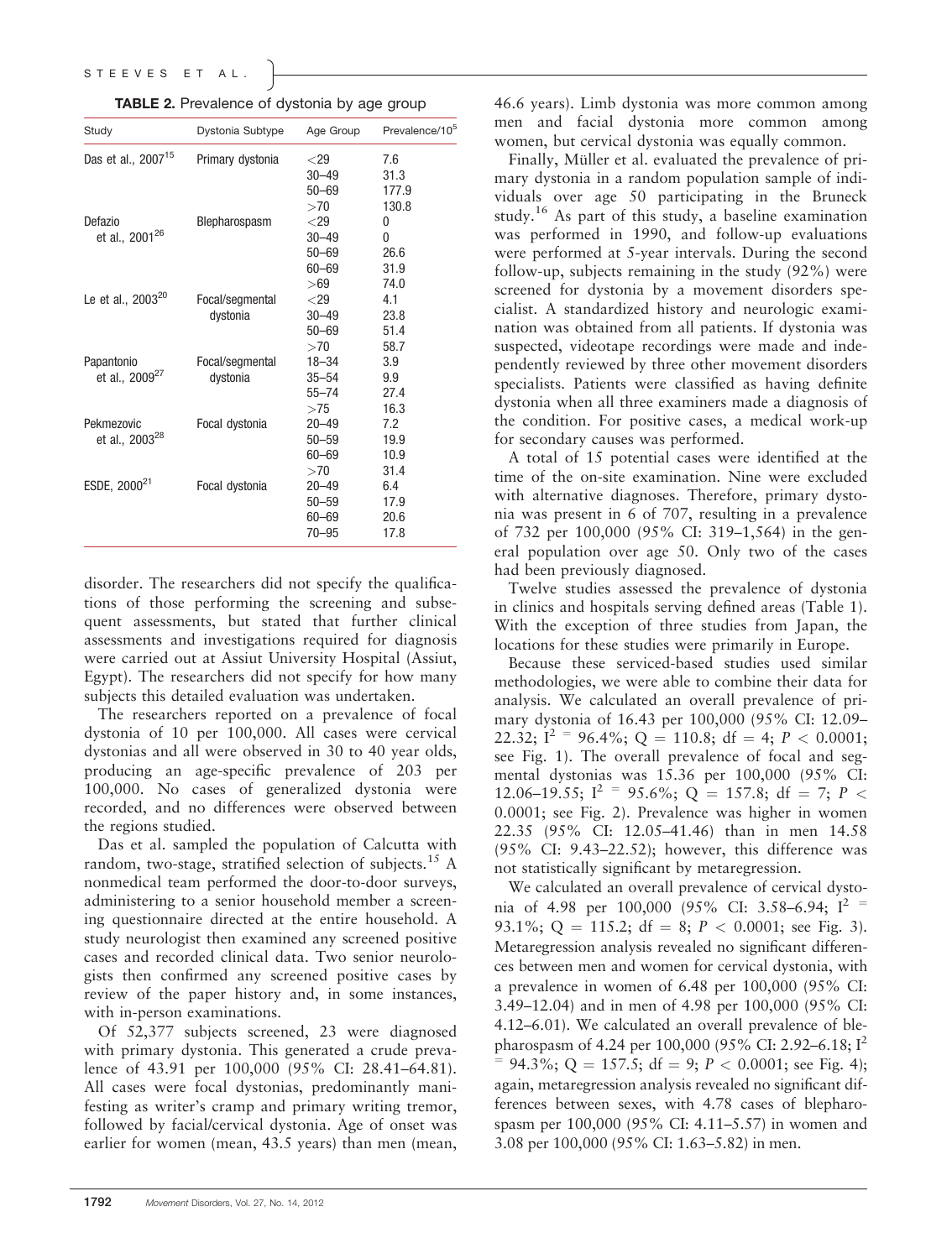| TABLE 2. Prevalence of dystonia by age group |  |  |  |
|----------------------------------------------|--|--|--|
|                                              |  |  |  |

| Study                          | Dystonia Subtype | Age Group | Prevalence/10 <sup>5</sup> |
|--------------------------------|------------------|-----------|----------------------------|
| Das et al., 2007 <sup>15</sup> | Primary dystonia | ${<}29$   | 7.6                        |
|                                |                  | $30 - 49$ | 31.3                       |
|                                |                  | $50 - 69$ | 177.9                      |
|                                |                  | >70       | 130.8                      |
| Defazio                        | Blepharospasm    | ${<}29$   | 0                          |
| et al., 2001 <sup>26</sup>     |                  | $30 - 49$ | 0                          |
|                                |                  | $50 - 69$ | 26.6                       |
|                                |                  | 60-69     | 31.9                       |
|                                |                  | > 69      | 74.0                       |
| Le et al., $2003^{20}$         | Focal/segmental  | ${<}29$   | 4.1                        |
|                                | dystonia         | $30 - 49$ | 23.8                       |
|                                |                  | $50 - 69$ | 51.4                       |
|                                |                  | >70       | 58.7                       |
| Papantonio                     | Focal/segmental  | $18 - 34$ | 3.9                        |
| et al., 2009 <sup>27</sup>     | dystonia         | $35 - 54$ | 9.9                        |
|                                |                  | $55 - 74$ | 27.4                       |
|                                |                  | >75       | 16.3                       |
| Pekmezovic                     | Focal dystonia   | $20 - 49$ | 7.2                        |
| et al., 2003 <sup>28</sup>     |                  | $50 - 59$ | 19.9                       |
|                                |                  | 60-69     | 10.9                       |
|                                |                  | >70       | 31.4                       |
| ESDE, 2000 <sup>21</sup>       | Focal dystonia   | $20 - 49$ | 6.4                        |
|                                |                  | $50 - 59$ | 17.9                       |
|                                |                  | 60–69     | 20.6                       |
|                                |                  | $70 - 95$ | 17.8                       |

disorder. The researchers did not specify the qualifications of those performing the screening and subsequent assessments, but stated that further clinical assessments and investigations required for diagnosis were carried out at Assiut University Hospital (Assiut, Egypt). The researchers did not specify for how many subjects this detailed evaluation was undertaken.

The researchers reported on a prevalence of focal dystonia of 10 per 100,000. All cases were cervical dystonias and all were observed in 30 to 40 year olds, producing an age-specific prevalence of 203 per 100,000. No cases of generalized dystonia were recorded, and no differences were observed between the regions studied.

Das et al. sampled the population of Calcutta with random, two-stage, stratified selection of subjects.<sup>15</sup> A nonmedical team performed the door-to-door surveys, administering to a senior household member a screening questionnaire directed at the entire household. A study neurologist then examined any screened positive cases and recorded clinical data. Two senior neurologists then confirmed any screened positive cases by review of the paper history and, in some instances, with in-person examinations.

Of 52,377 subjects screened, 23 were diagnosed with primary dystonia. This generated a crude prevalence of 43.91 per 100,000 (95% CI: 28.41–64.81). All cases were focal dystonias, predominantly manifesting as writer's cramp and primary writing tremor, followed by facial/cervical dystonia. Age of onset was earlier for women (mean, 43.5 years) than men (mean, 46.6 years). Limb dystonia was more common among men and facial dystonia more common among women, but cervical dystonia was equally common.

Finally, Müller et al. evaluated the prevalence of primary dystonia in a random population sample of individuals over age 50 participating in the Bruneck study.<sup>16</sup> As part of this study, a baseline examination was performed in 1990, and follow-up evaluations were performed at 5-year intervals. During the second follow-up, subjects remaining in the study (92%) were screened for dystonia by a movement disorders specialist. A standardized history and neurologic examination was obtained from all patients. If dystonia was suspected, videotape recordings were made and independently reviewed by three other movement disorders specialists. Patients were classified as having definite dystonia when all three examiners made a diagnosis of the condition. For positive cases, a medical work-up for secondary causes was performed.

A total of 15 potential cases were identified at the time of the on-site examination. Nine were excluded with alternative diagnoses. Therefore, primary dystonia was present in 6 of 707, resulting in a prevalence of 732 per 100,000 (95% CI: 319–1,564) in the general population over age 50. Only two of the cases had been previously diagnosed.

Twelve studies assessed the prevalence of dystonia in clinics and hospitals serving defined areas (Table 1). With the exception of three studies from Japan, the locations for these studies were primarily in Europe.

Because these serviced-based studies used similar methodologies, we were able to combine their data for analysis. We calculated an overall prevalence of primary dystonia of 16.43 per 100,000 (95% CI: 12.09– 22.32;  $I^2 = 96.4\%$ ; Q = 110.8; df = 4; P < 0.0001; see Fig. 1). The overall prevalence of focal and segmental dystonias was 15.36 per 100,000 (95% CI: 12.06–19.55;  $I^2 = 95.6\%$ ; Q = 157.8; df = 7; P < 0.0001; see Fig. 2). Prevalence was higher in women 22.35 (95% CI: 12.05–41.46) than in men 14.58 (95% CI: 9.43–22.52); however, this difference was not statistically significant by metaregression.

We calculated an overall prevalence of cervical dystonia of 4.98 per 100,000 (95% CI: 3.58–6.94;  $I^2$  = 93.1%; Q = 115.2; df = 8; P < 0.0001; see Fig. 3). Metaregression analysis revealed no significant differences between men and women for cervical dystonia, with a prevalence in women of 6.48 per 100,000 (95% CI: 3.49–12.04) and in men of 4.98 per 100,000 (95% CI: 4.12–6.01). We calculated an overall prevalence of blepharospasm of 4.24 per 100,000 (95% CI: 2.92–6.18;  $I^2$ 94.3%; Q = 157.5; df = 9; P < 0.0001; see Fig. 4); again, metaregression analysis revealed no significant differences between sexes, with 4.78 cases of blepharospasm per 100,000 (95% CI: 4.11–5.57) in women and 3.08 per 100,000 (95% CI: 1.63–5.82) in men.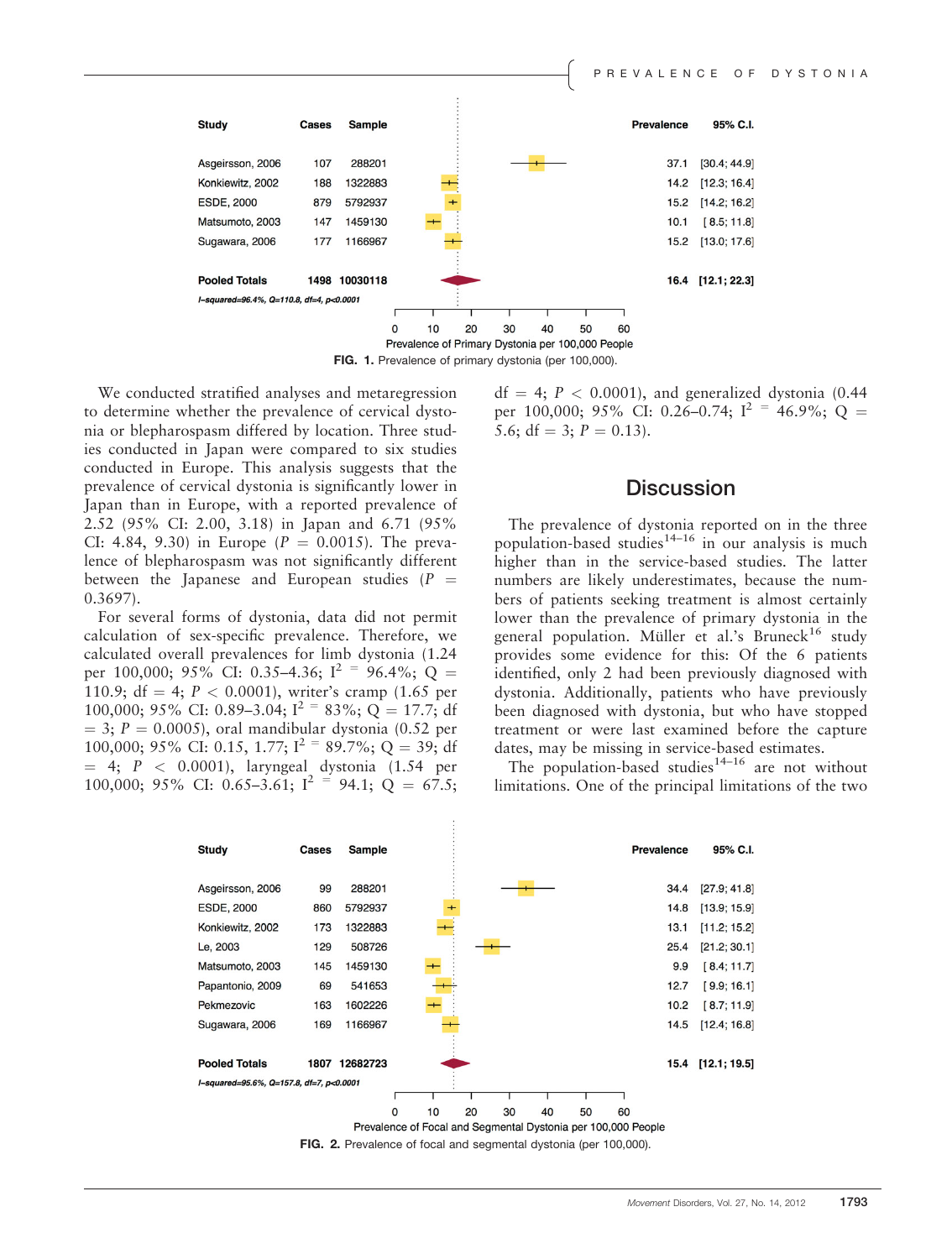

FIG. 1. Prevalence of primary dystonia (per 100,000).

We conducted stratified analyses and metaregression to determine whether the prevalence of cervical dystonia or blepharospasm differed by location. Three studies conducted in Japan were compared to six studies conducted in Europe. This analysis suggests that the prevalence of cervical dystonia is significantly lower in Japan than in Europe, with a reported prevalence of 2.52 (95% CI: 2.00, 3.18) in Japan and 6.71 (95% CI: 4.84, 9.30) in Europe ( $P = 0.0015$ ). The prevalence of blepharospasm was not significantly different between the Japanese and European studies ( $P =$ 0.3697).

For several forms of dystonia, data did not permit calculation of sex-specific prevalence. Therefore, we calculated overall prevalences for limb dystonia (1.24 per 100,000; 95% CI: 0.35–4.36;  $I^2 = 96.4\%$ ; Q = 110.9; df = 4;  $P < 0.0001$ ), writer's cramp (1.65 per 100,000; 95% CI: 0.89–3.04;  $I^2 = 83\%$ ; Q = 17.7; df  $=$  3; P  $=$  0.0005), oral mandibular dystonia (0.52 per 100,000; 95% CI: 0.15, 1.77;  $I^2 = 89.7\%$ ; Q = 39; df  $= 4$ ;  $P < 0.0001$ ), laryngeal dystonia (1.54 per 100,000; 95% CI: 0.65–3.61;  $I^2 = 94.1$ ; Q = 67.5;

 $df = 4$ ;  $P < 0.0001$ ), and generalized dystonia (0.44) per 100,000; 95% CI: 0.26–0.74;  $I^2 = 46.9\%$ ; Q = 5.6; df = 3;  $P = 0.13$ ).

#### **Discussion**

The prevalence of dystonia reported on in the three population-based studies<sup>14–16</sup> in our analysis is much higher than in the service-based studies. The latter numbers are likely underestimates, because the numbers of patients seeking treatment is almost certainly lower than the prevalence of primary dystonia in the general population. Müller et al.'s Bruneck<sup>16</sup> study provides some evidence for this: Of the 6 patients identified, only 2 had been previously diagnosed with dystonia. Additionally, patients who have previously been diagnosed with dystonia, but who have stopped treatment or were last examined before the capture dates, may be missing in service-based estimates.

The population-based studies<sup>14-16</sup> are not without limitations. One of the principal limitations of the two



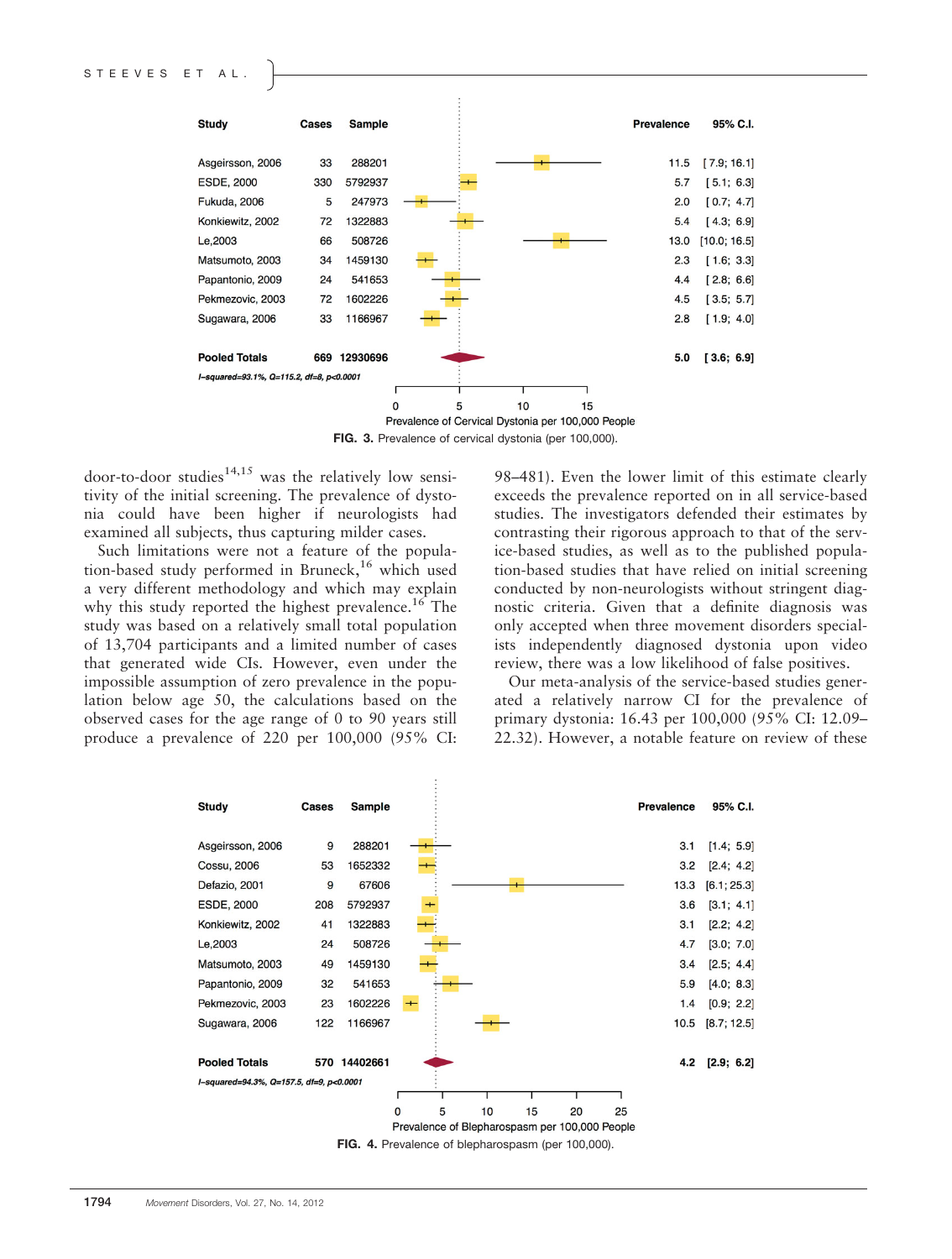

door-to-door studies $14,15$  was the relatively low sensitivity of the initial screening. The prevalence of dystonia could have been higher if neurologists had examined all subjects, thus capturing milder cases.

Such limitations were not a feature of the population-based study performed in Bruneck,<sup>16</sup> which used a very different methodology and which may explain why this study reported the highest prevalence.<sup>16</sup> The study was based on a relatively small total population of 13,704 participants and a limited number of cases that generated wide CIs. However, even under the impossible assumption of zero prevalence in the population below age 50, the calculations based on the observed cases for the age range of 0 to 90 years still produce a prevalence of 220 per 100,000 (95% CI:

98–481). Even the lower limit of this estimate clearly exceeds the prevalence reported on in all service-based studies. The investigators defended their estimates by contrasting their rigorous approach to that of the service-based studies, as well as to the published population-based studies that have relied on initial screening conducted by non-neurologists without stringent diagnostic criteria. Given that a definite diagnosis was only accepted when three movement disorders specialists independently diagnosed dystonia upon video review, there was a low likelihood of false positives.

Our meta-analysis of the service-based studies generated a relatively narrow CI for the prevalence of primary dystonia: 16.43 per 100,000 (95% CI: 12.09– 22.32). However, a notable feature on review of these

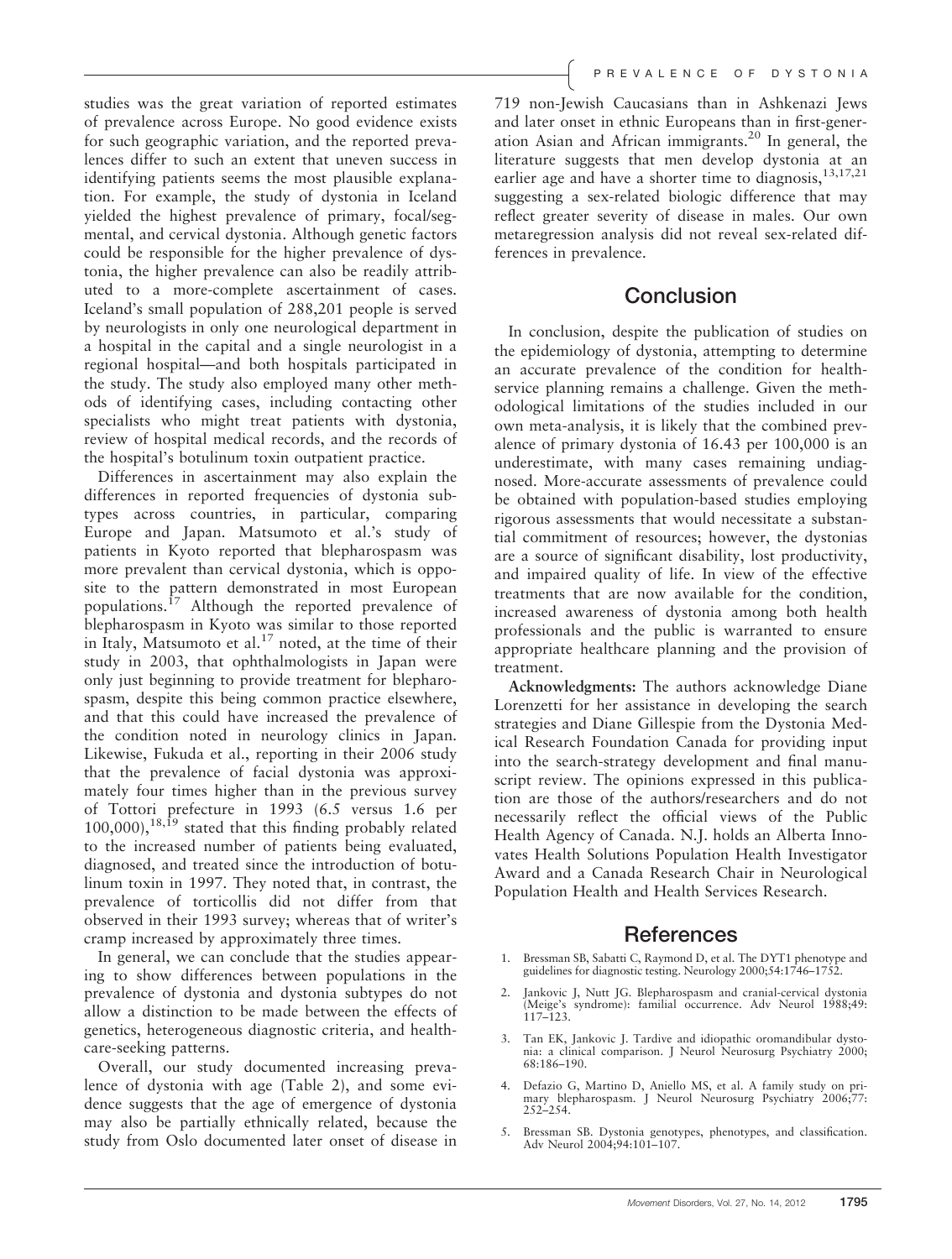studies was the great variation of reported estimates of prevalence across Europe. No good evidence exists for such geographic variation, and the reported prevalences differ to such an extent that uneven success in identifying patients seems the most plausible explanation. For example, the study of dystonia in Iceland yielded the highest prevalence of primary, focal/segmental, and cervical dystonia. Although genetic factors could be responsible for the higher prevalence of dystonia, the higher prevalence can also be readily attributed to a more-complete ascertainment of cases. Iceland's small population of 288,201 people is served by neurologists in only one neurological department in a hospital in the capital and a single neurologist in a regional hospital—and both hospitals participated in the study. The study also employed many other methods of identifying cases, including contacting other specialists who might treat patients with dystonia, review of hospital medical records, and the records of the hospital's botulinum toxin outpatient practice.

Differences in ascertainment may also explain the differences in reported frequencies of dystonia subtypes across countries, in particular, comparing Europe and Japan. Matsumoto et al.'s study of patients in Kyoto reported that blepharospasm was more prevalent than cervical dystonia, which is opposite to the pattern demonstrated in most European populations.<sup>17</sup> Although the reported prevalence of blepharospasm in Kyoto was similar to those reported in Italy, Matsumoto et al.<sup>17</sup> noted, at the time of their study in 2003, that ophthalmologists in Japan were only just beginning to provide treatment for blepharospasm, despite this being common practice elsewhere, and that this could have increased the prevalence of the condition noted in neurology clinics in Japan. Likewise, Fukuda et al., reporting in their 2006 study that the prevalence of facial dystonia was approximately four times higher than in the previous survey of Tottori prefecture in 1993 (6.5 versus 1.6 per  $100,000$ ,  $18,19$  stated that this finding probably related to the increased number of patients being evaluated, diagnosed, and treated since the introduction of botulinum toxin in 1997. They noted that, in contrast, the prevalence of torticollis did not differ from that observed in their 1993 survey; whereas that of writer's cramp increased by approximately three times.

In general, we can conclude that the studies appearing to show differences between populations in the prevalence of dystonia and dystonia subtypes do not allow a distinction to be made between the effects of genetics, heterogeneous diagnostic criteria, and healthcare-seeking patterns.

Overall, our study documented increasing prevalence of dystonia with age (Table 2), and some evidence suggests that the age of emergence of dystonia may also be partially ethnically related, because the study from Oslo documented later onset of disease in 719 non-Jewish Caucasians than in Ashkenazi Jews and later onset in ethnic Europeans than in first-generation Asian and African immigrants.20 In general, the literature suggests that men develop dystonia at an earlier age and have a shorter time to diagnosis,  $13,17,21$ suggesting a sex-related biologic difference that may reflect greater severity of disease in males. Our own metaregression analysis did not reveal sex-related differences in prevalence.

### **Conclusion**

In conclusion, despite the publication of studies on the epidemiology of dystonia, attempting to determine an accurate prevalence of the condition for healthservice planning remains a challenge. Given the methodological limitations of the studies included in our own meta-analysis, it is likely that the combined prevalence of primary dystonia of 16.43 per 100,000 is an underestimate, with many cases remaining undiagnosed. More-accurate assessments of prevalence could be obtained with population-based studies employing rigorous assessments that would necessitate a substantial commitment of resources; however, the dystonias are a source of significant disability, lost productivity, and impaired quality of life. In view of the effective treatments that are now available for the condition, increased awareness of dystonia among both health professionals and the public is warranted to ensure appropriate healthcare planning and the provision of treatment.

Acknowledgments: The authors acknowledge Diane Lorenzetti for her assistance in developing the search strategies and Diane Gillespie from the Dystonia Medical Research Foundation Canada for providing input into the search-strategy development and final manuscript review. The opinions expressed in this publication are those of the authors/researchers and do not necessarily reflect the official views of the Public Health Agency of Canada. N.J. holds an Alberta Innovates Health Solutions Population Health Investigator Award and a Canada Research Chair in Neurological Population Health and Health Services Research.

#### References

- 1. Bressman SB, Sabatti C, Raymond D, et al. The DYT1 phenotype and guidelines for diagnostic testing. Neurology 2000;54:1746–1752.
- 2. Jankovic J, Nutt JG. Blepharospasm and cranial-cervical dystonia (Meige's syndrome): familial occurrence. Adv Neurol 1988;49: 117–123.
- 3. Tan EK, Jankovic J. Tardive and idiopathic oromandibular dystonia: a clinical comparison. J Neurol Neurosurg Psychiatry 2000; 68:186–190.
- 4. Defazio G, Martino D, Aniello MS, et al. A family study on primary blepharospasm. J Neurol Neurosurg Psychiatry 2006;77:  $252 - 254$
- 5. Bressman SB. Dystonia genotypes, phenotypes, and classification. Adv Neurol 2004;94:101–107.